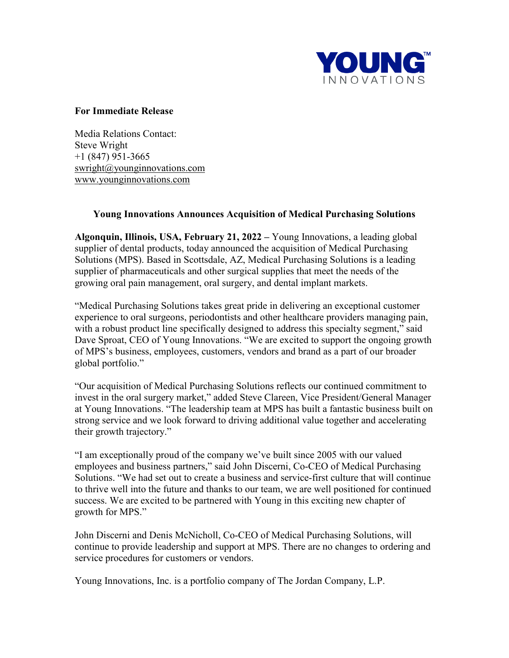

## **For Immediate Release**

Media Relations Contact: Steve Wright +1 (847) 951-3665 [swright@younginnovations.com](mailto:bkay@ydnt.com) [www.younginnovations.com](http://www.younginnovations.com/)

## **Young Innovations Announces Acquisition of Medical Purchasing Solutions**

**Algonquin, Illinois, USA, February 21, 2022 –** Young Innovations, a leading global supplier of dental products, today announced the acquisition of Medical Purchasing Solutions (MPS). Based in Scottsdale, AZ, Medical Purchasing Solutions is a leading supplier of pharmaceuticals and other surgical supplies that meet the needs of the growing oral pain management, oral surgery, and dental implant markets.

"Medical Purchasing Solutions takes great pride in delivering an exceptional customer experience to oral surgeons, periodontists and other healthcare providers managing pain, with a robust product line specifically designed to address this specialty segment," said Dave Sproat, CEO of Young Innovations. "We are excited to support the ongoing growth of MPS's business, employees, customers, vendors and brand as a part of our broader global portfolio."

"Our acquisition of Medical Purchasing Solutions reflects our continued commitment to invest in the oral surgery market," added Steve Clareen, Vice President/General Manager at Young Innovations. "The leadership team at MPS has built a fantastic business built on strong service and we look forward to driving additional value together and accelerating their growth trajectory."

"I am exceptionally proud of the company we've built since 2005 with our valued employees and business partners," said John Discerni, Co-CEO of Medical Purchasing Solutions. "We had set out to create a business and service-first culture that will continue to thrive well into the future and thanks to our team, we are well positioned for continued success. We are excited to be partnered with Young in this exciting new chapter of growth for MPS."

John Discerni and Denis McNicholl, Co-CEO of Medical Purchasing Solutions, will continue to provide leadership and support at MPS. There are no changes to ordering and service procedures for customers or vendors.

Young Innovations, Inc. is a portfolio company of The Jordan Company, L.P.